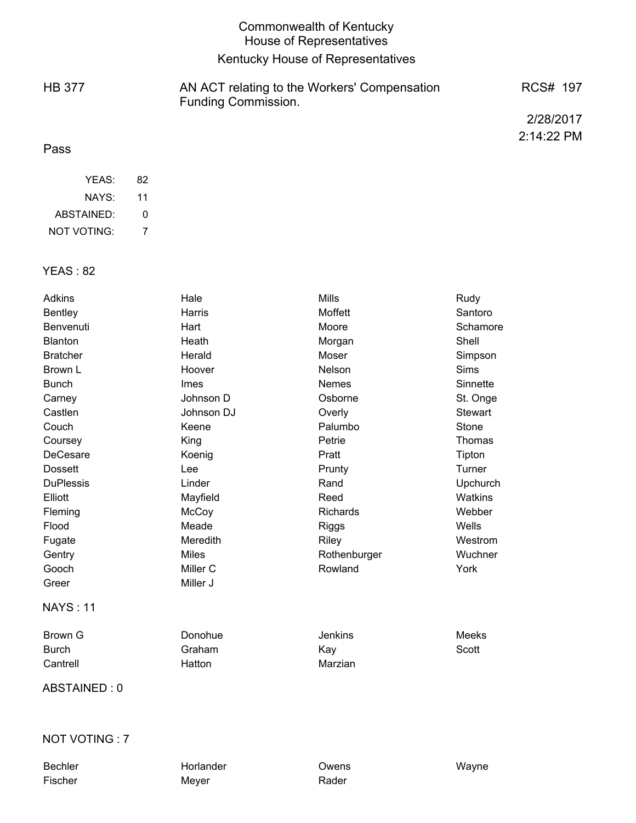|               | Commonwealth of Kentucky<br>House of Representatives                       |            |
|---------------|----------------------------------------------------------------------------|------------|
|               | Kentucky House of Representatives                                          |            |
| <b>HB 377</b> | AN ACT relating to the Workers' Compensation<br><b>Funding Commission.</b> | RCS# 197   |
|               |                                                                            | 2/28/2017  |
| Pass          |                                                                            | 2:14:22 PM |

| YFAS:       | 82 |
|-------------|----|
| NAYS:       | 11 |
| ABSTAINED:  | O  |
| NOT VOTING: | 7  |

### YEAS : 82

| Adkins           | Hale         | <b>Mills</b>    | Rudy            |
|------------------|--------------|-----------------|-----------------|
| <b>Bentley</b>   | Harris       | Moffett         | Santoro         |
| Benvenuti        | Hart         | Moore           | Schamore        |
| <b>Blanton</b>   | Heath        | Morgan          | Shell           |
| <b>Bratcher</b>  | Herald       | Moser           | Simpson         |
| Brown L          | Hoover       | Nelson          | <b>Sims</b>     |
| <b>Bunch</b>     | Imes         | <b>Nemes</b>    | Sinnette        |
| Carney           | Johnson D    | Osborne         | St. Onge        |
| Castlen          | Johnson DJ   | Overly          | Stewart         |
| Couch            | Keene        | Palumbo         | Stone           |
| Coursey          | King         | Petrie          | Thomas          |
| <b>DeCesare</b>  | Koenig       | Pratt           | Tipton          |
| <b>Dossett</b>   | Lee          | Prunty          | Turner          |
| <b>DuPlessis</b> | Linder       | Rand            | <b>Upchurch</b> |
| Elliott          | Mayfield     | Reed            | Watkins         |
| Fleming          | McCoy        | <b>Richards</b> | Webber          |
| Flood            | Meade        | Riggs           | Wells           |
| Fugate           | Meredith     | Riley           | Westrom         |
| Gentry           | <b>Miles</b> | Rothenburger    | Wuchner         |
| Gooch            | Miller C     | Rowland         | York            |
| Greer            | Miller J     |                 |                 |
| <b>NAYS: 11</b>  |              |                 |                 |
| <b>Brown G</b>   | Donohue      | <b>Jenkins</b>  | Meeks           |
| <b>Burch</b>     | Graham       | Kay             | Scott           |
| Cantrell         | Hatton       | Marzian         |                 |

ABSTAINED : 0

## NOT VOTING : 7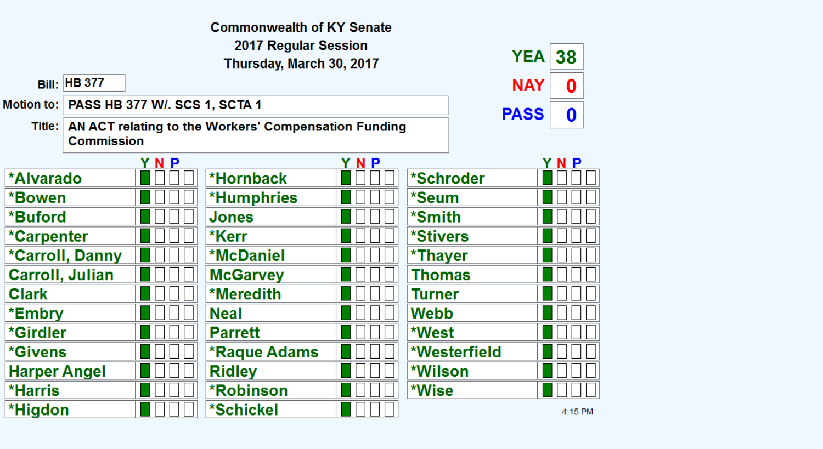|                                                                                    |                        |                                            | <b>Commonwealth of KY Senate</b> |     |             |              |         |  |
|------------------------------------------------------------------------------------|------------------------|--------------------------------------------|----------------------------------|-----|-------------|--------------|---------|--|
| 2017 Regular Session<br><b>YEA</b><br>38                                           |                        |                                            |                                  |     |             |              |         |  |
| Thursday, March 30, 2017                                                           |                        |                                            |                                  |     |             |              |         |  |
|                                                                                    | <b>Bill: HB 377</b>    |                                            |                                  |     |             | <b>NAY</b>   | 0       |  |
|                                                                                    |                        | Motion to:   PASS HB 377 W/. SCS 1, SCTA 1 |                                  |     | <b>PASS</b> | $\mathbf 0$  |         |  |
| Title:   AN ACT relating to the Workers' Compensation Funding<br><b>Commission</b> |                        |                                            |                                  |     |             |              |         |  |
|                                                                                    |                        | YNP                                        |                                  | YNP |             |              | YNP     |  |
| *Alvarado                                                                          |                        |                                            | *Hornback                        |     | *Schroder   |              |         |  |
| *Bowen                                                                             |                        |                                            | <b>*Humphries</b>                |     | *Seum       |              |         |  |
| *Buford                                                                            |                        |                                            | Jones                            |     | *Smith      |              |         |  |
| *Carpenter                                                                         |                        |                                            | *Kerr                            |     | *Stivers    |              |         |  |
|                                                                                    | *Carroll, Danny        |                                            | <b>*McDaniel</b>                 |     | *Thayer     |              |         |  |
|                                                                                    | <b>Carroll, Julian</b> |                                            | <b>McGarvey</b>                  |     | Thomas      |              |         |  |
| <b>Clark</b>                                                                       |                        |                                            | *Meredith                        |     | Turner      |              |         |  |
| *Embry                                                                             |                        |                                            | <b>Neal</b>                      |     | Webb        |              |         |  |
| *Girdler                                                                           |                        |                                            | <b>Parrett</b>                   |     | *West       |              |         |  |
| <i><b>*Givens</b></i>                                                              |                        |                                            | *Raque Adams                     |     |             | *Westerfield |         |  |
| <b>Harper Angel</b>                                                                |                        |                                            | <b>Ridley</b>                    |     | *Wilson     |              |         |  |
| <b>*Harris</b>                                                                     |                        |                                            | <b>*Robinson</b>                 |     | *Wise       |              |         |  |
| *Higdon                                                                            |                        |                                            | *Schickel                        |     |             |              | 4:15 PM |  |